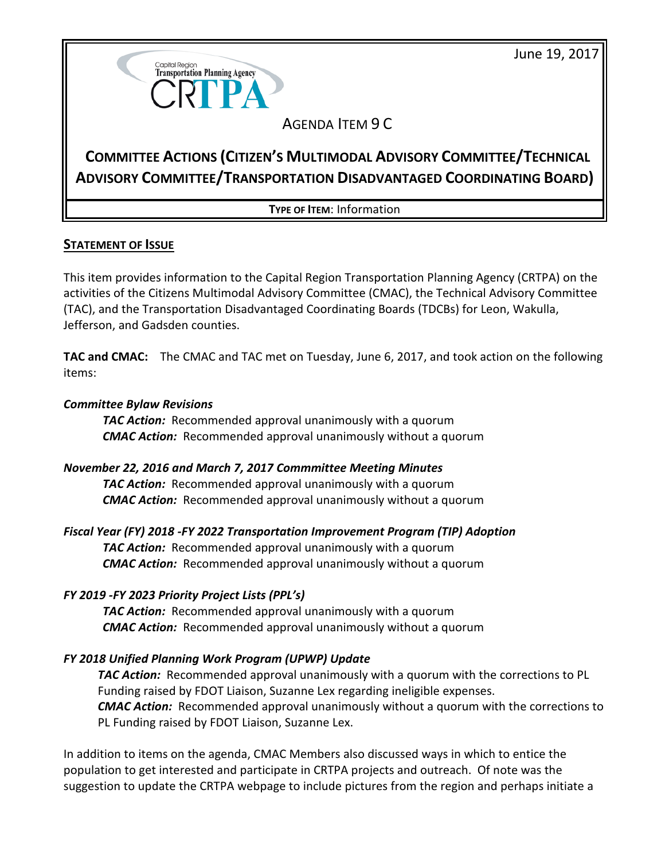June 19, 2017



## AGENDA ITEM 9 C

# **COMMITTEE ACTIONS (CITIZEN'S MULTIMODAL ADVISORY COMMITTEE/TECHNICAL ADVISORY COMMITTEE/TRANSPORTATION DISADVANTAGED COORDINATING BOARD)**

**TYPE OF ITEM**: Information

## **STATEMENT OF ISSUE**

This item provides information to the Capital Region Transportation Planning Agency (CRTPA) on the activities of the Citizens Multimodal Advisory Committee (CMAC), the Technical Advisory Committee (TAC), and the Transportation Disadvantaged Coordinating Boards (TDCBs) for Leon, Wakulla, Jefferson, and Gadsden counties.

**TAC and CMAC:** The CMAC and TAC met on Tuesday, June 6, 2017, and took action on the following items:

### *Committee Bylaw Revisions*

*TAC Action:* Recommended approval unanimously with a quorum *CMAC Action:* Recommended approval unanimously without a quorum

## *November 22, 2016 and March 7, 2017 Commmittee Meeting Minutes*

*TAC Action:* Recommended approval unanimously with a quorum *CMAC Action:* Recommended approval unanimously without a quorum

## *Fiscal Year (FY) 2018 -FY 2022 Transportation Improvement Program (TIP) Adoption*

*TAC Action:* Recommended approval unanimously with a quorum *CMAC Action:* Recommended approval unanimously without a quorum

## *FY 2019 -FY 2023 Priority Project Lists (PPL's)*

*TAC Action:* Recommended approval unanimously with a quorum *CMAC Action:* Recommended approval unanimously without a quorum

## *FY 2018 Unified Planning Work Program (UPWP) Update*

*TAC Action:* Recommended approval unanimously with a quorum with the corrections to PL Funding raised by FDOT Liaison, Suzanne Lex regarding ineligible expenses. *CMAC Action:* Recommended approval unanimously without a quorum with the corrections to PL Funding raised by FDOT Liaison, Suzanne Lex.

In addition to items on the agenda, CMAC Members also discussed ways in which to entice the population to get interested and participate in CRTPA projects and outreach. Of note was the suggestion to update the CRTPA webpage to include pictures from the region and perhaps initiate a